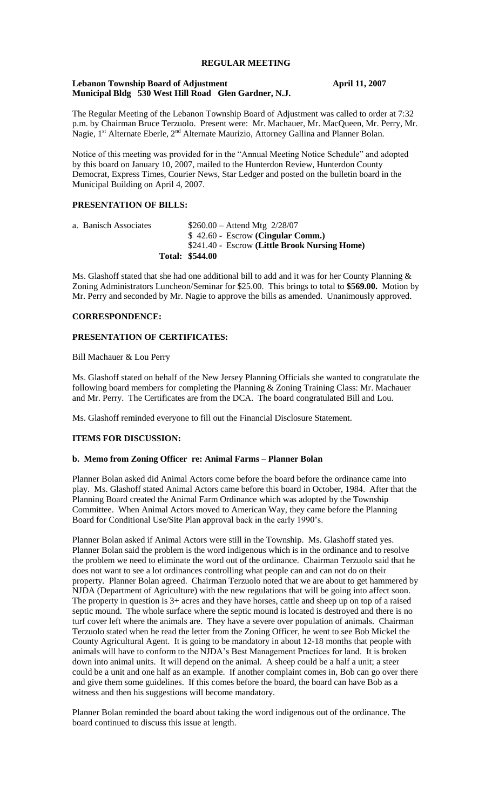# **REGULAR MEETING**

## **Lebanon Township Board of Adjustment April 11, 2007 Municipal Bldg 530 West Hill Road Glen Gardner, N.J.**

The Regular Meeting of the Lebanon Township Board of Adjustment was called to order at 7:32 p.m. by Chairman Bruce Terzuolo. Present were: Mr. Machauer, Mr. MacQueen, Mr. Perry, Mr. Nagie,  $1^{st}$  Alternate Eberle,  $2^{nd}$  Alternate Maurizio, Attorney Gallina and Planner Bolan.

Notice of this meeting was provided for in the "Annual Meeting Notice Schedule" and adopted by this board on January 10, 2007, mailed to the Hunterdon Review, Hunterdon County Democrat, Express Times, Courier News, Star Ledger and posted on the bulletin board in the Municipal Building on April 4, 2007.

# **PRESENTATION OF BILLS:**

a. Banisch Associates \$260.00 – Attend Mtg 2/28/07 \$ 42.60 - Escrow **(Cingular Comm.)** \$241.40 - Escrow **(Little Brook Nursing Home) Total: \$544.00**

Ms. Glashoff stated that she had one additional bill to add and it was for her County Planning  $\&$ Zoning Administrators Luncheon/Seminar for \$25.00. This brings to total to **\$569.00.** Motion by Mr. Perry and seconded by Mr. Nagie to approve the bills as amended. Unanimously approved.

# **CORRESPONDENCE:**

# **PRESENTATION OF CERTIFICATES:**

Bill Machauer & Lou Perry

Ms. Glashoff stated on behalf of the New Jersey Planning Officials she wanted to congratulate the following board members for completing the Planning & Zoning Training Class: Mr. Machauer and Mr. Perry. The Certificates are from the DCA. The board congratulated Bill and Lou.

Ms. Glashoff reminded everyone to fill out the Financial Disclosure Statement.

#### **ITEMS FOR DISCUSSION:**

#### **b. Memo from Zoning Officer re: Animal Farms – Planner Bolan**

Planner Bolan asked did Animal Actors come before the board before the ordinance came into play. Ms. Glashoff stated Animal Actors came before this board in October, 1984. After that the Planning Board created the Animal Farm Ordinance which was adopted by the Township Committee. When Animal Actors moved to American Way, they came before the Planning Board for Conditional Use/Site Plan approval back in the early 1990's.

Planner Bolan asked if Animal Actors were still in the Township. Ms. Glashoff stated yes. Planner Bolan said the problem is the word indigenous which is in the ordinance and to resolve the problem we need to eliminate the word out of the ordinance. Chairman Terzuolo said that he does not want to see a lot ordinances controlling what people can and can not do on their property. Planner Bolan agreed. Chairman Terzuolo noted that we are about to get hammered by NJDA (Department of Agriculture) with the new regulations that will be going into affect soon. The property in question is 3+ acres and they have horses, cattle and sheep up on top of a raised septic mound. The whole surface where the septic mound is located is destroyed and there is no turf cover left where the animals are. They have a severe over population of animals. Chairman Terzuolo stated when he read the letter from the Zoning Officer, he went to see Bob Mickel the County Agricultural Agent. It is going to be mandatory in about 12-18 months that people with animals will have to conform to the NJDA's Best Management Practices for land. It is broken down into animal units. It will depend on the animal. A sheep could be a half a unit; a steer could be a unit and one half as an example. If another complaint comes in, Bob can go over there and give them some guidelines. If this comes before the board, the board can have Bob as a witness and then his suggestions will become mandatory.

Planner Bolan reminded the board about taking the word indigenous out of the ordinance. The board continued to discuss this issue at length.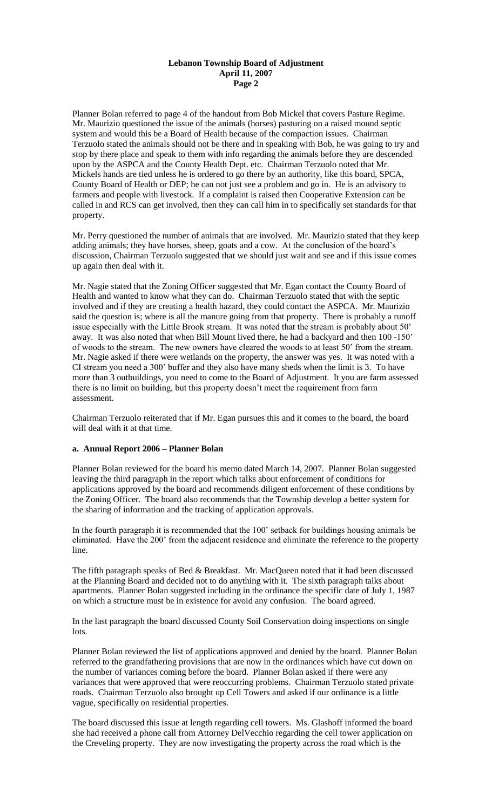# **Lebanon Township Board of Adjustment April 11, 2007 Page 2**

Planner Bolan referred to page 4 of the handout from Bob Mickel that covers Pasture Regime. Mr. Maurizio questioned the issue of the animals (horses) pasturing on a raised mound septic system and would this be a Board of Health because of the compaction issues. Chairman Terzuolo stated the animals should not be there and in speaking with Bob, he was going to try and stop by there place and speak to them with info regarding the animals before they are descended upon by the ASPCA and the County Health Dept. etc. Chairman Terzuolo noted that Mr. Mickels hands are tied unless he is ordered to go there by an authority, like this board, SPCA, County Board of Health or DEP; he can not just see a problem and go in. He is an advisory to farmers and people with livestock. If a complaint is raised then Cooperative Extension can be called in and RCS can get involved, then they can call him in to specifically set standards for that property.

Mr. Perry questioned the number of animals that are involved. Mr. Maurizio stated that they keep adding animals; they have horses, sheep, goats and a cow. At the conclusion of the board's discussion, Chairman Terzuolo suggested that we should just wait and see and if this issue comes up again then deal with it.

Mr. Nagie stated that the Zoning Officer suggested that Mr. Egan contact the County Board of Health and wanted to know what they can do. Chairman Terzuolo stated that with the septic involved and if they are creating a health hazard, they could contact the ASPCA. Mr. Maurizio said the question is; where is all the manure going from that property. There is probably a runoff issue especially with the Little Brook stream. It was noted that the stream is probably about 50' away. It was also noted that when Bill Mount lived there, he had a backyard and then 100 -150' of woods to the stream. The new owners have cleared the woods to at least 50' from the stream. Mr. Nagie asked if there were wetlands on the property, the answer was yes. It was noted with a CI stream you need a 300' buffer and they also have many sheds when the limit is 3. To have more than 3 outbuildings, you need to come to the Board of Adjustment. It you are farm assessed there is no limit on building, but this property doesn't meet the requirement from farm assessment.

Chairman Terzuolo reiterated that if Mr. Egan pursues this and it comes to the board, the board will deal with it at that time.

## **a. Annual Report 2006 – Planner Bolan**

Planner Bolan reviewed for the board his memo dated March 14, 2007. Planner Bolan suggested leaving the third paragraph in the report which talks about enforcement of conditions for applications approved by the board and recommends diligent enforcement of these conditions by the Zoning Officer. The board also recommends that the Township develop a better system for the sharing of information and the tracking of application approvals.

In the fourth paragraph it is recommended that the 100' setback for buildings housing animals be eliminated. Have the 200' from the adjacent residence and eliminate the reference to the property line.

The fifth paragraph speaks of Bed & Breakfast. Mr. MacQueen noted that it had been discussed at the Planning Board and decided not to do anything with it. The sixth paragraph talks about apartments. Planner Bolan suggested including in the ordinance the specific date of July 1, 1987 on which a structure must be in existence for avoid any confusion. The board agreed.

In the last paragraph the board discussed County Soil Conservation doing inspections on single lots.

Planner Bolan reviewed the list of applications approved and denied by the board. Planner Bolan referred to the grandfathering provisions that are now in the ordinances which have cut down on the number of variances coming before the board. Planner Bolan asked if there were any variances that were approved that were reoccurring problems. Chairman Terzuolo stated private roads. Chairman Terzuolo also brought up Cell Towers and asked if our ordinance is a little vague, specifically on residential properties.

The board discussed this issue at length regarding cell towers. Ms. Glashoff informed the board she had received a phone call from Attorney DelVecchio regarding the cell tower application on the Creveling property. They are now investigating the property across the road which is the